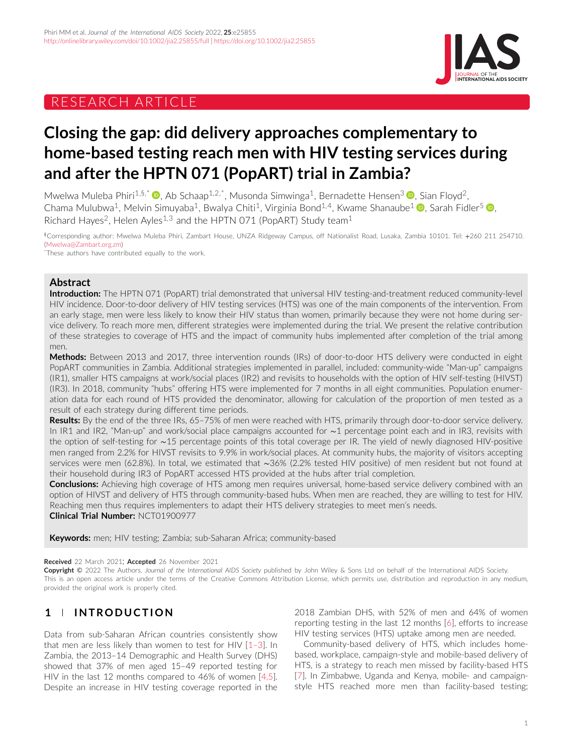# RESEARCH ARTICLE



# **Closing the gap: did delivery approaches complementary to home-based testing reach men with HIV testing services during and after the HPTN 071 (PopART) trial in Zambia?**

Mwelwa Muleba Phiri<sup>1[,](https://orcid.org/0000-0001-6719-6720)§,\*</sup>  $\bullet$ , Ab Schaap<sup>1,2,\*</sup>, Musonda Simwinga<sup>1</sup>, Bernadette Hensen<sup>3</sup>  $\bullet$ , Sian Floyd<sup>2</sup>, Chama Mulubwa<sup>1</sup>[,](https://orcid.org/0000-0003-1676-7583) Melvin Simuyaba<sup>1</sup>, Bwalya Chiti<sup>1</sup>, Virginia Bond<sup>1,4</sup>, Kwame Shanaube<sup>1</sup> **.** Sarah Fidler<sup>5</sup> **.** Richard Hayes<sup>2</sup>, Helen Ayles<sup>1,3</sup> and the HPTN 071 (PopART) Study team<sup>1</sup>

§Corresponding author: Mwelwa Muleba Phiri, Zambart House, UNZA Ridgeway Campus, off Nationalist Road, Lusaka, Zambia 10101. Tel: +260 211 254710. [\(Mwelwa@Zambart.org.zm\)](mailto:Mwelwa@Zambart.org.zm)

\*These authors have contributed equally to the work.

#### **Abstract**

**Introduction:** The HPTN 071 (PopART) trial demonstrated that universal HIV testing-and-treatment reduced community-level HIV incidence. Door-to-door delivery of HIV testing services (HTS) was one of the main components of the intervention. From an early stage, men were less likely to know their HIV status than women, primarily because they were not home during service delivery. To reach more men, different strategies were implemented during the trial. We present the relative contribution of these strategies to coverage of HTS and the impact of community hubs implemented after completion of the trial among men.

**Methods:** Between 2013 and 2017, three intervention rounds (IRs) of door-to-door HTS delivery were conducted in eight PopART communities in Zambia. Additional strategies implemented in parallel, included: community-wide "Man-up" campaigns (IR1), smaller HTS campaigns at work/social places (IR2) and revisits to households with the option of HIV self-testing (HIVST) (IR3). In 2018, community "hubs" offering HTS were implemented for 7 months in all eight communities. Population enumeration data for each round of HTS provided the denominator, allowing for calculation of the proportion of men tested as a result of each strategy during different time periods.

**Results:** By the end of the three IRs, 65–75% of men were reached with HTS, primarily through door-to-door service delivery. In IR1 and IR2, "Man-up" and work/social place campaigns accounted for ∼1 percentage point each and in IR3, revisits with the option of self-testing for ∼15 percentage points of this total coverage per IR. The yield of newly diagnosed HIV-positive men ranged from 2.2% for HIVST revisits to 9.9% in work/social places. At community hubs, the majority of visitors accepting services were men (62.8%). In total, we estimated that ∼36% (2.2% tested HIV positive) of men resident but not found at their household during IR3 of PopART accessed HTS provided at the hubs after trial completion.

**Conclusions:** Achieving high coverage of HTS among men requires universal, home-based service delivery combined with an option of HIVST and delivery of HTS through community-based hubs. When men are reached, they are willing to test for HIV. Reaching men thus requires implementers to adapt their HTS delivery strategies to meet men's needs. **Clinical Trial Number:** NCT01900977

**Keywords:** men; HIV testing; Zambia; sub-Saharan Africa; community-based

#### **Received** 22 March 2021; **Accepted** 26 November 2021

**Copyright** © 2022 The Authors. *Journal of the International AIDS Society* published by John Wiley & Sons Ltd on behalf of the International AIDS Society. This is an open access article under the terms of the [Creative Commons Attribution](http://creativecommons.org/licenses/by/4.0/) License, which permits use, distribution and reproduction in any medium, provided the original work is properly cited.

# **1 INTRODUCTION**

Data from sub-Saharan African countries consistently show that men are less likely than women to test for HIV [\[1–3\]](#page-8-0). In Zambia, the 2013–14 Demographic and Health Survey (DHS) showed that 37% of men aged 15–49 reported testing for HIV in the last 12 months compared to 46% of women [\[4,5\]](#page-8-0). Despite an increase in HIV testing coverage reported in the 2018 Zambian DHS, with 52% of men and 64% of women reporting testing in the last 12 months [\[6\]](#page-8-0), efforts to increase HIV testing services (HTS) uptake among men are needed.

Community-based delivery of HTS, which includes homebased, workplace, campaign-style and mobile-based delivery of HTS, is a strategy to reach men missed by facility-based HTS [\[7\]](#page-8-0). In Zimbabwe, Uganda and Kenya, mobile- and campaignstyle HTS reached more men than facility-based testing;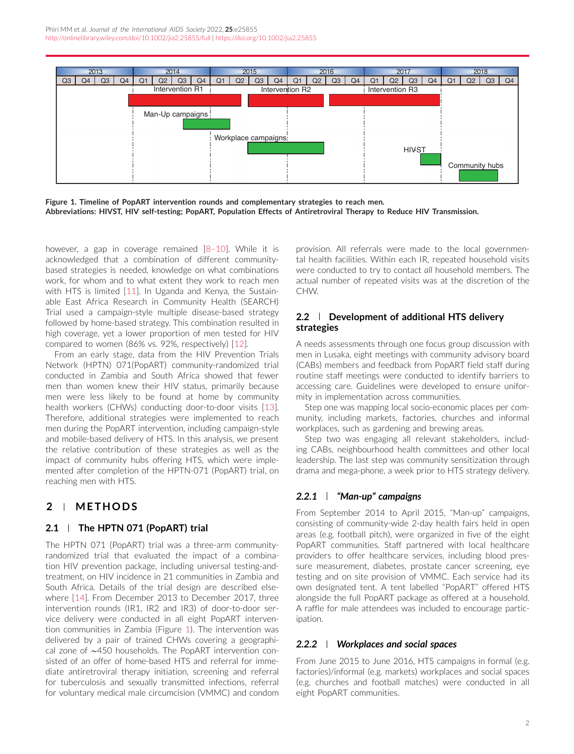

**Figure 1. Timeline of PopART intervention rounds and complementary strategies to reach men. Abbreviations: HIVST, HIV self-testing; PopART, Population Effects of Antiretroviral Therapy to Reduce HIV Transmission.**

however, a gap in coverage remained  $[8-10]$ . While it is acknowledged that a combination of different communitybased strategies is needed, knowledge on what combinations work, for whom and to what extent they work to reach men with HTS is limited [\[11\]](#page-9-0). In Uganda and Kenya, the Sustainable East Africa Research in Community Health (SEARCH) Trial used a campaign-style multiple disease-based strategy followed by home-based strategy. This combination resulted in high coverage, yet a lower proportion of men tested for HIV compared to women (86% vs. 92%, respectively) [\[12\]](#page-9-0).

From an early stage, data from the HIV Prevention Trials Network (HPTN) 071(PopART) community-randomized trial conducted in Zambia and South Africa showed that fewer men than women knew their HIV status, primarily because men were less likely to be found at home by community health workers (CHWs) conducting door-to-door visits [\[13\]](#page-9-0). Therefore, additional strategies were implemented to reach men during the PopART intervention, including campaign-style and mobile-based delivery of HTS. In this analysis, we present the relative contribution of these strategies as well as the impact of community hubs offering HTS, which were implemented after completion of the HPTN-071 (PopART) trial, on reaching men with HTS.

# **2 METHODS**

### **2.1 The HPTN 071 (PopART) trial**

The HPTN 071 (PopART) trial was a three-arm communityrandomized trial that evaluated the impact of a combination HIV prevention package, including universal testing-andtreatment, on HIV incidence in 21 communities in Zambia and South Africa. Details of the trial design are described elsewhere [\[14\]](#page-9-0). From December 2013 to December 2017, three intervention rounds (IR1, IR2 and IR3) of door-to-door service delivery were conducted in all eight PopART intervention communities in Zambia (Figure 1). The intervention was delivered by a pair of trained CHWs covering a geographical zone of ∼450 households. The PopART intervention consisted of an offer of home-based HTS and referral for immediate antiretroviral therapy initiation, screening and referral for tuberculosis and sexually transmitted infections, referral for voluntary medical male circumcision (VMMC) and condom provision. All referrals were made to the local governmental health facilities. Within each IR, repeated household visits were conducted to try to contact *all* household members. The actual number of repeated visits was at the discretion of the CHW.

#### **2.2 Development of additional HTS delivery strategies**

A needs assessments through one focus group discussion with men in Lusaka, eight meetings with community advisory board (CABs) members and feedback from PopART field staff during routine staff meetings were conducted to identify barriers to accessing care. Guidelines were developed to ensure uniformity in implementation across communities.

Step one was mapping local socio-economic places per community, including markets, factories, churches and informal workplaces, such as gardening and brewing areas.

Step two was engaging all relevant stakeholders, including CABs, neighbourhood health committees and other local leadership. The last step was community sensitization through drama and mega-phone, a week prior to HTS strategy delivery.

### *2.2.1 "Man-up" campaigns*

From September 2014 to April 2015, "Man-up" campaigns, consisting of community-wide 2-day health fairs held in open areas (e.g. football pitch), were organized in five of the eight PopART communities. Staff partnered with local healthcare providers to offer healthcare services, including blood pressure measurement, diabetes, prostate cancer screening, eye testing and on site provision of VMMC. Each service had its own designated tent. A tent labelled "PopART" offered HTS alongside the full PopART package as offered at a household. A raffle for male attendees was included to encourage participation.

### *2.2.2 Workplaces and social spaces*

From June 2015 to June 2016, HTS campaigns in formal (e.g. factories)/informal (e.g. markets) workplaces and social spaces (e.g. churches and football matches) were conducted in all eight PopART communities.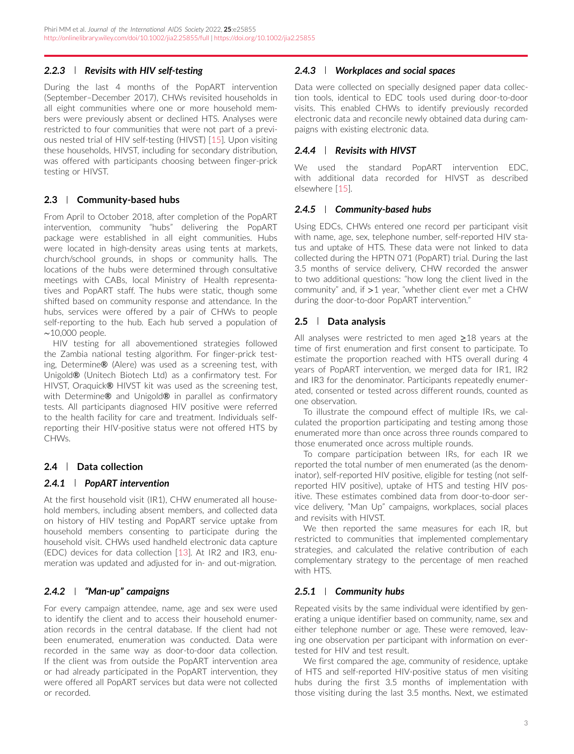### *2.2.3 Revisits with HIV self-testing*

During the last 4 months of the PopART intervention (September–December 2017), CHWs revisited households in all eight communities where one or more household members were previously absent or declined HTS. Analyses were restricted to four communities that were not part of a previous nested trial of HIV self-testing (HIVST) [\[15\]](#page-9-0). Upon visiting these households, HIVST, including for secondary distribution, was offered with participants choosing between finger-prick testing or HIVST.

### **2.3 Community-based hubs**

From April to October 2018, after completion of the PopART intervention, community "hubs" delivering the PopART package were established in all eight communities. Hubs were located in high-density areas using tents at markets, church/school grounds, in shops or community halls. The locations of the hubs were determined through consultative meetings with CABs, local Ministry of Health representatives and PopART staff. The hubs were static, though some shifted based on community response and attendance. In the hubs, services were offered by a pair of CHWs to people self-reporting to the hub. Each hub served a population of ∼10,000 people.

HIV testing for all abovementioned strategies followed the Zambia national testing algorithm. For finger-prick testing, Determine® (Alere) was used as a screening test, with Unigold® (Unitech Biotech Ltd) as a confirmatory test. For HIVST, Oraquick® HIVST kit was used as the screening test, with Determine® and Unigold® in parallel as confirmatory tests. All participants diagnosed HIV positive were referred to the health facility for care and treatment. Individuals selfreporting their HIV-positive status were not offered HTS by CHWs.

# **2.4 Data collection**

# *2.4.1 PopART intervention*

At the first household visit (IR1), CHW enumerated all household members, including absent members, and collected data on history of HIV testing and PopART service uptake from household members consenting to participate during the household visit. CHWs used handheld electronic data capture (EDC) devices for data collection [\[13\]](#page-9-0). At IR2 and IR3, enumeration was updated and adjusted for in- and out-migration.

# *2.4.2 "Man-up" campaigns*

For every campaign attendee, name, age and sex were used to identify the client and to access their household enumeration records in the central database. If the client had not been enumerated, enumeration was conducted. Data were recorded in the same way as door-to-door data collection. If the client was from outside the PopART intervention area or had already participated in the PopART intervention, they were offered all PopART services but data were not collected or recorded.

### *2.4.3 Workplaces and social spaces*

Data were collected on specially designed paper data collection tools, identical to EDC tools used during door-to-door visits. This enabled CHWs to identify previously recorded electronic data and reconcile newly obtained data during campaigns with existing electronic data.

### *2.4.4 Revisits with HIVST*

We used the standard PopART intervention EDC, with additional data recorded for HIVST as described elsewhere [\[15\]](#page-9-0).

### *2.4.5 Community-based hubs*

Using EDCs, CHWs entered one record per participant visit with name, age, sex, telephone number, self-reported HIV status and uptake of HTS. These data were not linked to data collected during the HPTN 071 (PopART) trial. During the last 3.5 months of service delivery, CHW recorded the answer to two additional questions: "how long the client lived in the community" and, if *>*1 year, "whether client ever met a CHW during the door-to-door PopART intervention."

# **2.5 Data analysis**

All analyses were restricted to men aged  $\geq$ 18 years at the time of first enumeration and first consent to participate. To estimate the proportion reached with HTS overall during 4 years of PopART intervention, we merged data for IR1, IR2 and IR3 for the denominator. Participants repeatedly enumerated, consented or tested across different rounds, counted as one observation.

To illustrate the compound effect of multiple IRs, we calculated the proportion participating and testing among those enumerated more than once across three rounds compared to those enumerated once across multiple rounds.

To compare participation between IRs, for each IR we reported the total number of men enumerated (as the denominator), self-reported HIV positive, eligible for testing (not selfreported HIV positive), uptake of HTS and testing HIV positive. These estimates combined data from door-to-door service delivery, "Man Up" campaigns, workplaces, social places and revisits with HIVST.

We then reported the same measures for each IR, but restricted to communities that implemented complementary strategies, and calculated the relative contribution of each complementary strategy to the percentage of men reached with HTS.

### *2.5.1 Community hubs*

Repeated visits by the same individual were identified by generating a unique identifier based on community, name, sex and either telephone number or age. These were removed, leaving one observation per participant with information on evertested for HIV and test result.

We first compared the age, community of residence, uptake of HTS and self-reported HIV-positive status of men visiting hubs during the first 3.5 months of implementation with those visiting during the last 3.5 months. Next, we estimated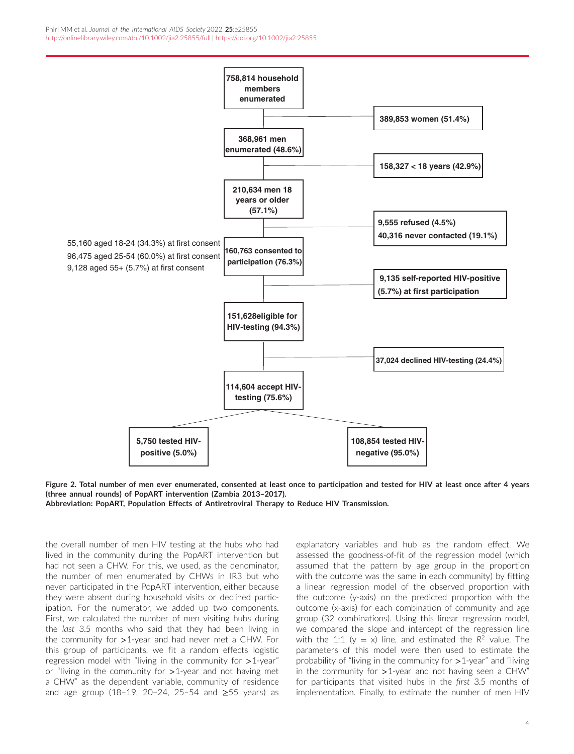<span id="page-3-0"></span>

**Figure 2. Total number of men ever enumerated, consented at least once to participation and tested for HIV at least once after 4 years (three annual rounds) of PopART intervention (Zambia 2013–2017).**

**Abbreviation: PopART, Population Effects of Antiretroviral Therapy to Reduce HIV Transmission.**

the overall number of men HIV testing at the hubs who had lived in the community during the PopART intervention but had not seen a CHW. For this, we used, as the denominator, the number of men enumerated by CHWs in IR3 but who never participated in the PopART intervention, either because they were absent during household visits or declined participation. For the numerator, we added up two components. First, we calculated the number of men visiting hubs during the *last* 3.5 months who said that they had been living in the community for *>*1-year and had never met a CHW. For this group of participants, we fit a random effects logistic regression model with "living in the community for *>*1-year" or "living in the community for *>*1-year and not having met a CHW" as the dependent variable, community of residence and age group (18–19, 20–24, 25–54 and ≥55 years) as

explanatory variables and hub as the random effect. We assessed the goodness-of-fit of the regression model (which assumed that the pattern by age group in the proportion with the outcome was the same in each community) by fitting a linear regression model of the observed proportion with the outcome (y-axis) on the predicted proportion with the outcome (x-axis) for each combination of community and age group (32 combinations). Using this linear regression model, we compared the slope and intercept of the regression line with the 1:1 ( $y = x$ ) line, and estimated the  $R^2$  value. The parameters of this model were then used to estimate the probability of "living in the community for *>*1-year" and "living in the community for *>*1-year and not having seen a CHW" for participants that visited hubs in the *first* 3.5 months of implementation. Finally, to estimate the number of men HIV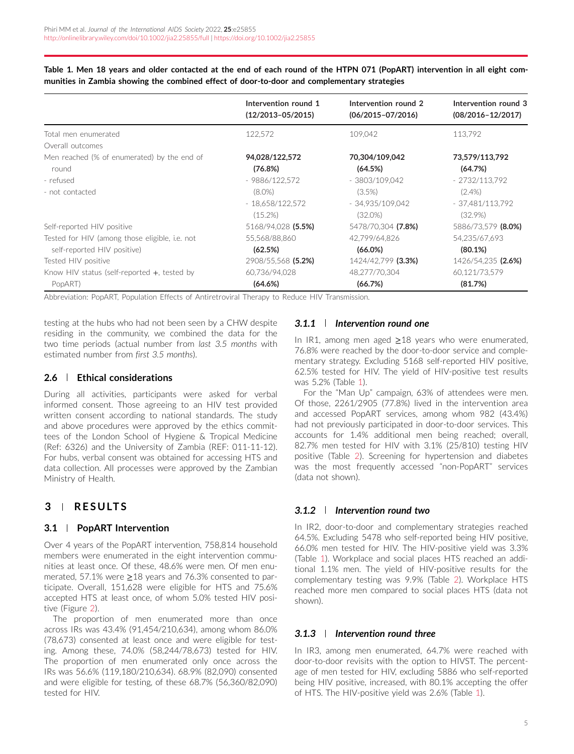<span id="page-4-0"></span>**Table 1. Men 18 years and older contacted at the end of each round of the HTPN 071 (PopART) intervention in all eight communities in Zambia showing the combined effect of door-to-door and complementary strategies**

|                                                | Intervention round 1  | Intervention round 2  | Intervention round 3  |
|------------------------------------------------|-----------------------|-----------------------|-----------------------|
|                                                | $(12/2013 - 05/2015)$ | $(06/2015 - 07/2016)$ | $(08/2016 - 12/2017)$ |
| Total men enumerated                           | 122,572               | 109,042               | 113,792               |
| Overall outcomes                               |                       |                       |                       |
| Men reached (% of enumerated) by the end of    | 94,028/122,572        | 70,304/109,042        | 73,579/113,792        |
| round                                          | (76.8%)               | (64.5%)               | (64.7%)               |
| - refused                                      | - 9886/122,572        | $-3803/109.042$       | - 2732/113,792        |
| - not contacted                                | $(8.0\%)$             | $(3.5\%)$             | $(2.4\%)$             |
|                                                | $-18,658/122,572$     | $-34,935/109,042$     | - 37,481/113,792      |
|                                                | $(15.2\%)$            | $(32.0\%)$            | $(32.9\%)$            |
| Self-reported HIV positive                     | 5168/94,028 (5.5%)    | 5478/70,304 (7.8%)    | 5886/73,579 (8.0%)    |
| Tested for HIV (among those eligible, i.e. not | 55,568/88,860         | 42,799/64,826         | 54,235/67,693         |
| self-reported HIV positive)                    | (62.5%)               | $(66.0\%)$            | (80.1%)               |
| Tested HIV positive                            | 2908/55,568 (5.2%)    | 1424/42,799 (3.3%)    | 1426/54.235 (2.6%)    |
| Know HIV status (self-reported $+$ , tested by | 60,736/94,028         | 48,277/70,304         | 60,121/73,579         |
| PopART)                                        | (64.6%)               | (66.7%)               | (81.7%)               |

Abbreviation: PopART, Population Effects of Antiretroviral Therapy to Reduce HIV Transmission.

testing at the hubs who had not been seen by a CHW despite residing in the community, we combined the data for the two time periods (actual number from *last 3.5 months* with estimated number from *first 3.5 months*).

#### **2.6 Ethical considerations**

During all activities, participants were asked for verbal informed consent. Those agreeing to an HIV test provided written consent according to national standards. The study and above procedures were approved by the ethics committees of the London School of Hygiene & Tropical Medicine (Ref: 6326) and the University of Zambia (REF: 011-11-12). For hubs, verbal consent was obtained for accessing HTS and data collection. All processes were approved by the Zambian Ministry of Health.

# **3 RESULTS**

### **3.1 PopART Intervention**

Over 4 years of the PopART intervention, 758,814 household members were enumerated in the eight intervention communities at least once. Of these, 48.6% were men. Of men enumerated, 57.1% were ≥18 years and 76.3% consented to participate. Overall, 151,628 were eligible for HTS and 75.6% accepted HTS at least once, of whom 5.0% tested HIV positive (Figure [2\)](#page-3-0).

The proportion of men enumerated more than once across IRs was 43.4% (91,454/210,634), among whom 86.0% (78,673) consented at least once and were eligible for testing. Among these, 74.0% (58,244/78,673) tested for HIV. The proportion of men enumerated only once across the IRs was 56.6% (119,180/210,634). 68.9% (82,090) consented and were eligible for testing, of these 68.7% (56,360/82,090) tested for HIV.

#### *3.1.1 Intervention round one*

In IR1, among men aged ≥18 years who were enumerated, 76.8% were reached by the door-to-door service and complementary strategy. Excluding 5168 self-reported HIV positive, 62.5% tested for HIV. The yield of HIV-positive test results was 5.2% (Table 1).

For the "Man Up" campaign, 63% of attendees were men. Of those, 2261/2905 (77.8%) lived in the intervention area and accessed PopART services, among whom 982 (43.4%) had not previously participated in door-to-door services. This accounts for 1.4% additional men being reached; overall, 82.7% men tested for HIV with 3.1% (25/810) testing HIV positive (Table [2\)](#page-5-0). Screening for hypertension and diabetes was the most frequently accessed "non-PopART" services (data not shown).

#### *3.1.2 Intervention round two*

In IR2, door-to-door and complementary strategies reached 64.5%. Excluding 5478 who self-reported being HIV positive, 66.0% men tested for HIV. The HIV-positive yield was 3.3% (Table 1). Workplace and social places HTS reached an additional 1.1% men. The yield of HIV-positive results for the complementary testing was 9.9% (Table [2\)](#page-5-0). Workplace HTS reached more men compared to social places HTS (data not shown).

### *3.1.3 Intervention round three*

In IR3, among men enumerated, 64.7% were reached with door-to-door revisits with the option to HIVST. The percentage of men tested for HIV, excluding 5886 who self-reported being HIV positive, increased, with 80.1% accepting the offer of HTS. The HIV-positive yield was 2.6% (Table 1).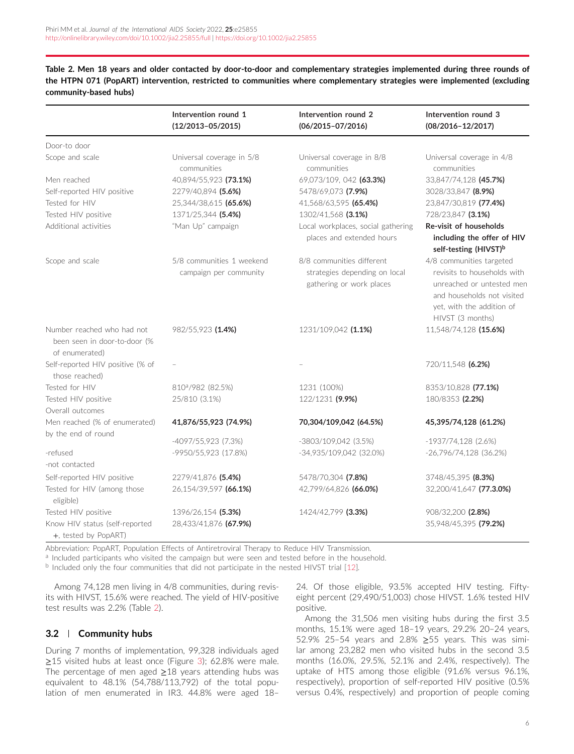<span id="page-5-0"></span>**Table 2. Men 18 years and older contacted by door-to-door and complementary strategies implemented during three rounds of the HTPN 071 (PopART) intervention, restricted to communities where complementary strategies were implemented (excluding community-based hubs)**

|                                                                              | Intervention round 1<br>$(12/2013 - 05/2015)$       | Intervention round 2<br>$(06/2015 - 07/2016)$                                          | Intervention round 3<br>$(08/2016 - 12/2017)$                                                                                                                       |
|------------------------------------------------------------------------------|-----------------------------------------------------|----------------------------------------------------------------------------------------|---------------------------------------------------------------------------------------------------------------------------------------------------------------------|
| Door-to door                                                                 |                                                     |                                                                                        |                                                                                                                                                                     |
| Scope and scale                                                              | Universal coverage in 5/8<br>communities            | Universal coverage in 8/8<br>communities                                               | Universal coverage in 4/8<br>communities                                                                                                                            |
| Men reached                                                                  | 40,894/55,923 (73.1%)                               | 69,073/109, 042 (63.3%)                                                                | 33,847/74,128 (45.7%)                                                                                                                                               |
| Self-reported HIV positive                                                   | 2279/40.894 (5.6%)                                  | 5478/69,073 (7.9%)                                                                     | 3028/33,847 (8.9%)                                                                                                                                                  |
| Tested for HIV                                                               | 25,344/38,615 (65.6%)                               | 41,568/63,595 (65.4%)                                                                  | 23,847/30,819 (77.4%)                                                                                                                                               |
| Tested HIV positive                                                          | 1371/25,344 (5.4%)                                  | 1302/41,568 (3.1%)                                                                     | 728/23.847 (3.1%)                                                                                                                                                   |
| Additional activities                                                        | "Man Up" campaign                                   | Local workplaces, social gathering                                                     | Re-visit of households                                                                                                                                              |
|                                                                              |                                                     | places and extended hours                                                              | including the offer of HIV<br>self-testing (HIVST) <sup>b</sup>                                                                                                     |
| Scope and scale                                                              | 5/8 communities 1 weekend<br>campaign per community | 8/8 communities different<br>strategies depending on local<br>gathering or work places | 4/8 communities targeted<br>revisits to households with<br>unreached or untested men<br>and households not visited<br>yet, with the addition of<br>HIVST (3 months) |
| Number reached who had not<br>been seen in door-to-door (%<br>of enumerated) | 982/55,923 (1.4%)                                   | 1231/109,042 (1.1%)                                                                    | 11,548/74,128 (15.6%)                                                                                                                                               |
| Self-reported HIV positive (% of<br>those reached)                           |                                                     |                                                                                        | 720/11,548 (6.2%)                                                                                                                                                   |
| Tested for HIV                                                               | 810 <sup>a</sup> /982 (82.5%)                       | 1231 (100%)                                                                            | 8353/10,828 (77.1%)                                                                                                                                                 |
| Tested HIV positive                                                          | 25/810 (3.1%)                                       | 122/1231 (9.9%)                                                                        | 180/8353 (2.2%)                                                                                                                                                     |
| Overall outcomes                                                             |                                                     |                                                                                        |                                                                                                                                                                     |
| Men reached (% of enumerated)                                                | 41,876/55,923 (74.9%)                               | 70,304/109,042 (64.5%)                                                                 | 45,395/74,128 (61.2%)                                                                                                                                               |
| by the end of round                                                          |                                                     |                                                                                        |                                                                                                                                                                     |
|                                                                              | -4097/55,923 (7.3%)                                 | -3803/109,042 (3.5%)                                                                   | $-1937/74128$ (2.6%)                                                                                                                                                |
| -refused<br>-not contacted                                                   | -9950/55,923 (17.8%)                                | -34,935/109,042 (32.0%)                                                                | $-26,796/74,128$ (36.2%)                                                                                                                                            |
| Self-reported HIV positive                                                   | 2279/41,876 (5.4%)                                  | 5478/70,304 (7.8%)                                                                     | 3748/45,395 (8.3%)                                                                                                                                                  |
| Tested for HIV (among those<br>eligible)                                     | 26,154/39,597 (66.1%)                               | 42,799/64,826 (66.0%)                                                                  | 32,200/41,647 (77.3.0%)                                                                                                                                             |
| Tested HIV positive                                                          | 1396/26.154 (5.3%)                                  | 1424/42,799 (3.3%)                                                                     | 908/32,200 (2.8%)                                                                                                                                                   |
| Know HIV status (self-reported<br>+, tested by PopART)                       | 28,433/41,876 (67.9%)                               |                                                                                        | 35,948/45,395 (79.2%)                                                                                                                                               |

Abbreviation: PopART, Population Effects of Antiretroviral Therapy to Reduce HIV Transmission.

<sup>a</sup> Included participants who visited the campaign but were seen and tested before in the household.

<sup>b</sup> Included only the four communities that did not participate in the nested HIVST trial [\[12\]](#page-9-0).

Among 74,128 men living in 4/8 communities, during revisits with HIVST, 15.6% were reached. The yield of HIV-positive test results was 2.2% (Table 2).

# **3.2 Community hubs**

During 7 months of implementation, 99,328 individuals aged ≥15 visited hubs at least once (Figure [3\)](#page-6-0); 62.8% were male. The percentage of men aged  $\geq$ 18 years attending hubs was equivalent to 48.1% (54,788/113,792) of the total population of men enumerated in IR3. 44.8% were aged 18–

24. Of those eligible, 93.5% accepted HIV testing. Fiftyeight percent (29,490/51,003) chose HIVST. 1.6% tested HIV positive.

Among the 31,506 men visiting hubs during the first 3.5 months, 15.1% were aged 18–19 years, 29.2% 20–24 years, 52.9% 25–54 years and 2.8% ≥55 years. This was similar among 23,282 men who visited hubs in the second 3.5 months (16.0%, 29.5%, 52.1% and 2.4%, respectively). The uptake of HTS among those eligible (91.6% versus 96.1%, respectively), proportion of self-reported HIV positive (0.5% versus 0.4%, respectively) and proportion of people coming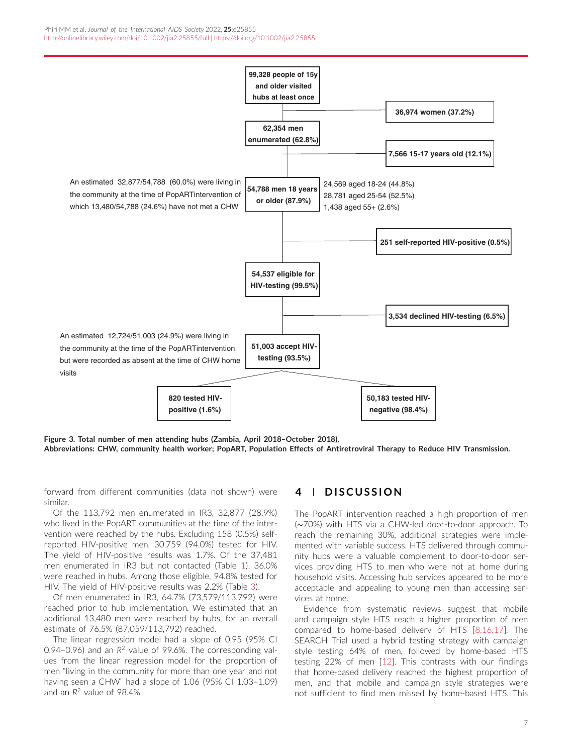<span id="page-6-0"></span>

**Figure 3. Total number of men attending hubs (Zambia, April 2018–October 2018). Abbreviations: CHW, community health worker; PopART, Population Effects of Antiretroviral Therapy to Reduce HIV Transmission.**

forward from different communities (data not shown) were similar.

Of the 113,792 men enumerated in IR3, 32,877 (28.9%) who lived in the PopART communities at the time of the intervention were reached by the hubs. Excluding 158 (0.5%) selfreported HIV-positive men, 30,759 (94.0%) tested for HIV. The yield of HIV-positive results was 1.7%. Of the 37,481 men enumerated in IR3 but not contacted (Table [1\)](#page-4-0), 36.0% were reached in hubs. Among those eligible, 94.8% tested for HIV. The yield of HIV-positive results was 2.2% (Table [3\)](#page-7-0).

Of men enumerated in IR3, 64.7% (73,579/113,792) were reached prior to hub implementation. We estimated that an additional 13,480 men were reached by hubs, for an overall estimate of 76.5% (87,059/113,792) reached.

The linear regression model had a slope of 0.95 (95% CI 0.94–0.96) and an *R*<sup>2</sup> value of 99.6%. The corresponding values from the linear regression model for the proportion of men "living in the community for more than one year and not having seen a CHW" had a slope of 1.06 (95% CI 1.03–1.09) and an *R*<sup>2</sup> value of 98.4%.

### **4 DISCUSSION**

The PopART intervention reached a high proportion of men (∼70%) with HTS via a CHW-led door-to-door approach. To reach the remaining 30%, additional strategies were implemented with variable success. HTS delivered through community hubs were a valuable complement to door-to-door services providing HTS to men who were not at home during household visits. Accessing hub services appeared to be more acceptable and appealing to young men than accessing services at home.

Evidence from systematic reviews suggest that mobile and campaign style HTS reach a higher proportion of men compared to home-based delivery of HTS [\[8,16,17\]](#page-9-0). The SEARCH Trial used a hybrid testing strategy with campaign style testing 64% of men, followed by home-based HTS testing 22% of men [\[12\]](#page-9-0). This contrasts with our findings that home-based delivery reached the highest proportion of men, and that mobile and campaign style strategies were not sufficient to find men missed by home-based HTS. This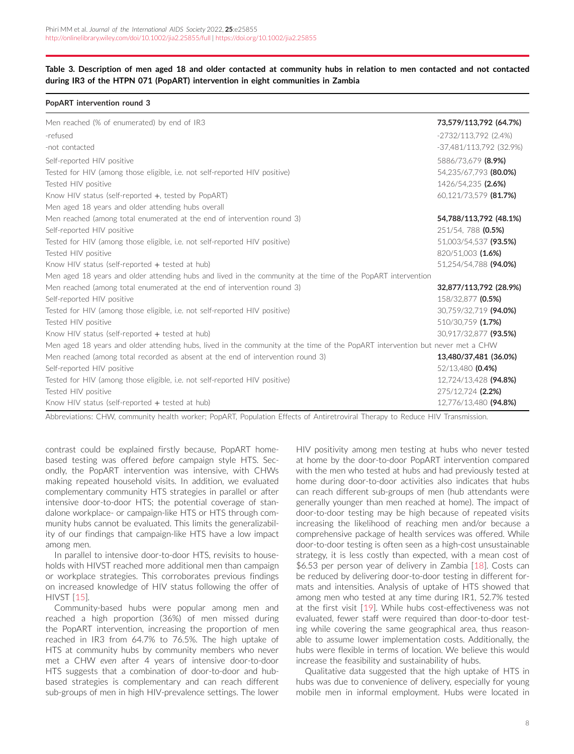#### <span id="page-7-0"></span>**Table 3. Description of men aged 18 and older contacted at community hubs in relation to men contacted and not contacted during IR3 of the HTPN 071 (PopART) intervention in eight communities in Zambia**

#### **PopART intervention round 3**

| Men reached (% of enumerated) by end of IR3                                                                                   | 73,579/113,792 (64.7%)    |
|-------------------------------------------------------------------------------------------------------------------------------|---------------------------|
| -refused                                                                                                                      | -2732/113.792 (2.4%)      |
| -not contacted                                                                                                                | $-37,481/113,792$ (32.9%) |
| Self-reported HIV positive                                                                                                    | 5886/73.679 (8.9%)        |
| Tested for HIV (among those eligible, i.e. not self-reported HIV positive)                                                    | 54,235/67,793 (80.0%)     |
| Tested HIV positive                                                                                                           | 1426/54,235 (2.6%)        |
| Know HIV status (self-reported +, tested by PopART)                                                                           | 60,121/73,579 (81.7%)     |
| Men aged 18 years and older attending hubs overall                                                                            |                           |
| Men reached (among total enumerated at the end of intervention round 3)                                                       | 54,788/113,792 (48.1%)    |
| Self-reported HIV positive                                                                                                    | 251/54, 788 (0.5%)        |
| Tested for HIV (among those eligible, i.e. not self-reported HIV positive)                                                    | 51,003/54,537 (93.5%)     |
| Tested HIV positive                                                                                                           | 820/51,003 (1.6%)         |
| Know HIV status (self-reported + tested at hub)                                                                               | 51.254/54.788 (94.0%)     |
| Men aged 18 years and older attending hubs and lived in the community at the time of the PopART intervention                  |                           |
| Men reached (among total enumerated at the end of intervention round 3)                                                       | 32,877/113,792 (28.9%)    |
| Self-reported HIV positive                                                                                                    | 158/32,877 (0.5%)         |
| Tested for HIV (among those eligible, i.e. not self-reported HIV positive)                                                    | 30,759/32,719 (94.0%)     |
| Tested HIV positive                                                                                                           | 510/30.759 (1.7%)         |
| Know HIV status (self-reported $+$ tested at hub)                                                                             | 30,917/32,877 (93.5%)     |
| Men aged 18 years and older attending hubs, lived in the community at the time of the PopART intervention but never met a CHW |                           |
| Men reached (among total recorded as absent at the end of intervention round 3)                                               | 13,480/37,481 (36.0%)     |
| Self-reported HIV positive                                                                                                    | 52/13.480 (0.4%)          |
| Tested for HIV (among those eligible, i.e. not self-reported HIV positive)                                                    | 12,724/13,428 (94.8%)     |
| Tested HIV positive                                                                                                           | 275/12.724 (2.2%)         |
| Know HIV status (self-reported $+$ tested at hub)                                                                             | 12,776/13,480 (94.8%)     |

Abbreviations: CHW, community health worker; PopART, Population Effects of Antiretroviral Therapy to Reduce HIV Transmission.

contrast could be explained firstly because, PopART homebased testing was offered *before* campaign style HTS. Secondly, the PopART intervention was intensive, with CHWs making repeated household visits. In addition, we evaluated complementary community HTS strategies in parallel or after intensive door-to-door HTS; the potential coverage of standalone workplace- or campaign-like HTS or HTS through community hubs cannot be evaluated. This limits the generalizability of our findings that campaign-like HTS have a low impact among men.

In parallel to intensive door-to-door HTS, revisits to households with HIVST reached more additional men than campaign or workplace strategies. This corroborates previous findings on increased knowledge of HIV status following the offer of HIVST [\[15\]](#page-9-0).

Community-based hubs were popular among men and reached a high proportion (36%) of men missed during the PopART intervention, increasing the proportion of men reached in IR3 from 64.7% to 76.5%. The high uptake of HTS at community hubs by community members who never met a CHW *even* after 4 years of intensive door-to-door HTS suggests that a combination of door-to-door and hubbased strategies is complementary and can reach different sub-groups of men in high HIV-prevalence settings. The lower

HIV positivity among men testing at hubs who never tested at home by the door-to-door PopART intervention compared with the men who tested at hubs and had previously tested at home during door-to-door activities also indicates that hubs can reach different sub-groups of men (hub attendants were generally younger than men reached at home). The impact of door-to-door testing may be high because of repeated visits increasing the likelihood of reaching men and/or because a comprehensive package of health services was offered. While door-to-door testing is often seen as a high-cost unsustainable strategy, it is less costly than expected, with a mean cost of \$6.53 per person year of delivery in Zambia [\[18\]](#page-9-0). Costs can be reduced by delivering door-to-door testing in different formats and intensities. Analysis of uptake of HTS showed that among men who tested at any time during IR1, 52.7% tested at the first visit [\[19\]](#page-9-0). While hubs cost-effectiveness was not evaluated, fewer staff were required than door-to-door testing while covering the same geographical area, thus reasonable to assume lower implementation costs. Additionally, the hubs were flexible in terms of location. We believe this would increase the feasibility and sustainability of hubs.

Qualitative data suggested that the high uptake of HTS in hubs was due to convenience of delivery, especially for young mobile men in informal employment. Hubs were located in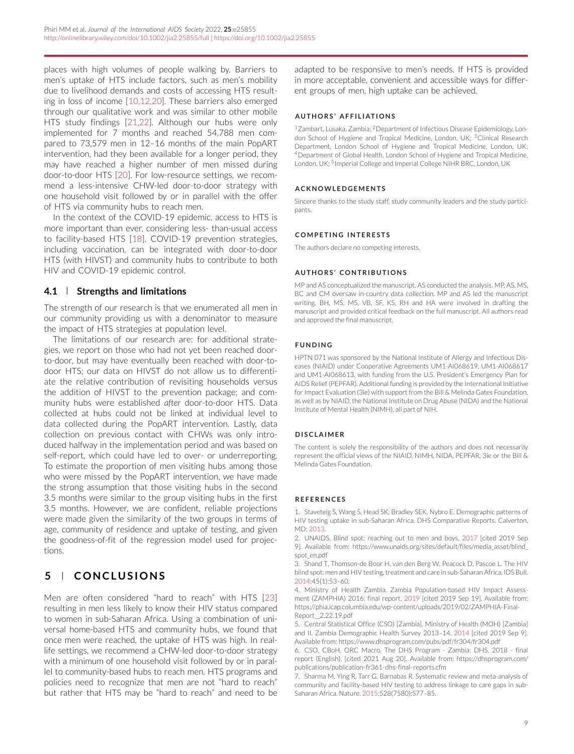<span id="page-8-0"></span>places with high volumes of people walking by. Barriers to men's uptake of HTS include factors, such as men's mobility due to livelihood demands and costs of accessing HTS resulting in loss of income [\[10,12,20\]](#page-9-0). These barriers also emerged through our qualitative work and was similar to other mobile HTS study findings [\[21,22\]](#page-9-0). Although our hubs were only implemented for 7 months and reached 54,788 men compared to 73,579 men in 12–16 months of the main PopART intervention, had they been available for a longer period, they may have reached a higher number of men missed during door-to-door HTS [\[20\]](#page-9-0). For low-resource settings, we recommend a less-intensive CHW-led door-to-door strategy with one household visit followed by or in parallel with the offer of HTS via community hubs to reach men.

In the context of the COVID-19 epidemic, access to HTS is more important than ever, considering less- than-usual access to facility-based HTS [\[18\]](#page-9-0). COVID-19 prevention strategies, including vaccination, can be integrated with door-to-door HTS (with HIVST) and community hubs to contribute to both HIV and COVID-19 epidemic control.

#### **4.1 Strengths and limitations**

The strength of our research is that we enumerated all men in our community providing us with a denominator to measure the impact of HTS strategies at population level.

The limitations of our research are: for additional strategies, we report on those who had not yet been reached doorto-door, but may have eventually been reached with door-todoor HTS; our data on HIVST do not allow us to differentiate the relative contribution of revisiting households versus the addition of HIVST to the prevention package; and community hubs were established *after* door-to-door HTS. Data collected at hubs could not be linked at individual level to data collected during the PopART intervention. Lastly, data collection on previous contact with CHWs was only introduced halfway in the implementation period and was based on self-report, which could have led to over- or underreporting. To estimate the proportion of men visiting hubs among those who were missed by the PopART intervention, we have made the strong assumption that those visiting hubs in the second 3.5 months were similar to the group visiting hubs in the first 3.5 months. However, we are confident, reliable projections were made given the similarity of the two groups in terms of age, community of residence and uptake of testing, and given the goodness-of-fit of the regression model used for projections.

# **5 CONCLUSIONS**

Men are often considered "hard to reach" with HTS [\[23\]](#page-9-0) resulting in men less likely to know their HIV status compared to women in sub-Saharan Africa. Using a combination of universal home-based HTS and community hubs, we found that once men were reached, the uptake of HTS was high. In reallife settings, we recommend a CHW-led door-to-door strategy with a minimum of one household visit followed by or in parallel to community-based hubs to reach men. HTS programs and policies need to recognize that men are not "hard to reach" but rather that HTS may be "hard to reach" and need to be

adapted to be responsive to men's needs. If HTS is provided in more acceptable, convenient and accessible ways for different groups of men, high uptake can be achieved.

#### **AUTHORS' AFFILIATIONS**

1Zambart, Lusaka, Zambia; 2Department of Infectious Disease Epidemiology, London School of Hygiene and Tropical Medicine, London, UK; <sup>3</sup>Clinical Research Department, London School of Hygiene and Tropical Medicine, London, UK; 4Department of Global Health, London School of Hygiene and Tropical Medicine, London, UK; <sup>5</sup>Imperial College and Imperial College NIHR BRC, London, UK

#### **ACKNOWLEDGEMENTS**

Sincere thanks to the study staff, study community leaders and the study participants.

#### **COMPETING INTERESTS**

The authors declare no competing interests.

#### **AUTHORS' CONTRIBUTIONS**

MP and AS conceptualized the manuscript. AS conducted the analysis. MP, AS, MS, BC and CM oversaw in-country data collection. MP and AS led the manuscript writing. BH, MS, MS, VB, SF, KS, RH and HA were involved in drafting the manuscript and provided critical feedback on the full manuscript. All authors read and approved the final manuscript.

#### **FUNDING**

HPTN 071 was sponsored by the National Institute of Allergy and Infectious Diseases (NIAID) under Cooperative Agreements UM1-AI068619, UM1-AI068617 and UM1-AI068613, with funding from the U.S. President's Emergency Plan for AIDS Relief (PEPFAR). Additional funding is provided by the International Initiative for Impact Evaluation (3ie) with support from the Bill & Melinda Gates Foundation, as well as by NIAID, the National Institute on Drug Abuse (NIDA) and the National Institute of Mental Health (NIMH), all part of NIH.

#### **DISCLAIMER**

The content is solely the responsibility of the authors and does not necessarily represent the official views of the NIAID, NIMH, NIDA, PEPFAR, 3ie or the Bill & Melinda Gates Foundation.

#### **REFERENCES**

1. Staveteig S, Wang S, Head SK, Bradley SEK, Nybro E. Demographic patterns of HIV testing uptake in sub-Saharan Africa. DHS Comparative Reports. Calverton, MD; 2013.

2. UNAIDS. Blind spot: reaching out to men and boys. 2017 [cited 2019 Sep 9]. Available from: [https://www.unaids.org/sites/default/files/media\\_asset/blind\\_](https://www.unaids.org/sites/default/files/media_asset/blind_spot_en.pdf) [spot\\_en.pdf](https://www.unaids.org/sites/default/files/media_asset/blind_spot_en.pdf)

3. Shand T, Thomson-de Boor H, van den Berg W, Peacock D, Pascoe L. The HIV blind spot: men and HIV testing, treatment and care in sub-Saharan Africa. IDS Bull. 2014;45(1):53–60.

4. Ministry of Health Zambia. Zambia Population-based HIV Impact Assessment (ZAMPHIA) 2016: final report. 2019 [cited 2019 Sep 19]. Available from: [https://phia.icap.columbia.edu/wp-content/uploads/2019/02/ZAMPHIA-Final-](https://phia.icap.columbia.edu/wp-content/uploads/2019/02/ZAMPHIA-Final-Report__2.22.19.pdf)[Report\\_\\_2.22.19.pdf](https://phia.icap.columbia.edu/wp-content/uploads/2019/02/ZAMPHIA-Final-Report__2.22.19.pdf)

5. Central Statistical Office (CSO) [Zambia], Ministry of Health (MOH) [Zambia] and II. Zambia Demographic Health Survey 2013–14. 2014 [cited 2019 Sep 9]. Available from:<https://www.dhsprogram.com/pubs/pdf/fr304/fr304.pdf>

6. CSO, CBoH, ORC Macro. The DHS Program - Zambia: DHS, 2018 - final report (English). [cited 2021 Aug 20]. Available from: [https://dhsprogram.com/](https://dhsprogram.com/publications/publication-fr361-dhs-final-reports.cfm) [publications/publication-fr361-dhs-final-reports.cfm](https://dhsprogram.com/publications/publication-fr361-dhs-final-reports.cfm)

7. Sharma M, Ying R, Tarr G, Barnabas R. Systematic review and meta-analysis of community and facility-based HIV testing to address linkage to care gaps in sub-Saharan Africa. Nature. 2015;528(7580):S77–85.